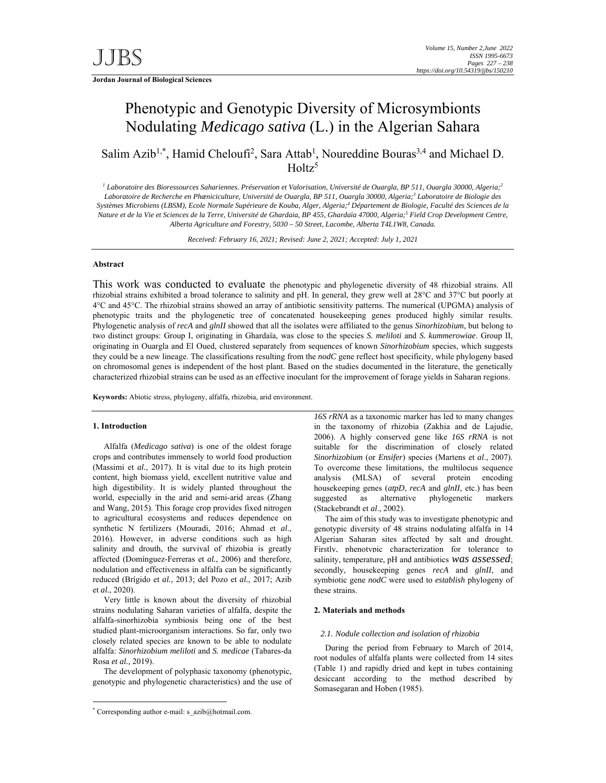**Jordan Journal of Biological Sciences** 

# Phenotypic and Genotypic Diversity of Microsymbionts Nodulating *Medicago sativa* (L.) in the Algerian Sahara

Salim Azib<sup>1,\*</sup>, Hamid Cheloufi<sup>2</sup>, Sara Attab<sup>1</sup>, Noureddine Bouras<sup>3,4</sup> and Michael D.  $Holtz<sup>5</sup>$ 

*1 Laboratoire des Bioressources Sahariennes. Préservation et Valorisation, Université de Ouargla, BP 511, Ouargla 30000, Algeria; 2* Laboratoire de Recherche en Phæniciculture, Université de Ouargla, BP 511, Ouargla 30000, Algeria;<sup>3</sup> Laboratoire de Biologie des *Systèmes Microbiens (LBSM), Ecole Normale Supérieure de Kouba, Alger, Algeria;4 Département de Biologie, Faculté des Sciences de la*  Nature et de la Vie et Sciences de la Terre, Université de Ghardaia, BP 455, Ghardaïa 47000, Algeria;<sup>5</sup> Field Crop Development Centre, *Alberta Agriculture and Forestry, 5030 – 50 Street, Lacombe, Alberta T4L1W8, Canada.* 

*Received: February 16, 2021; Revised: June 2, 2021; Accepted: July 1, 2021* 

# **Abstract**

This work was conducted to evaluate the phenotypic and phylogenetic diversity of 48 rhizobial strains. All rhizobial strains exhibited a broad tolerance to salinity and pH. In general, they grew well at 28°C and 37°C but poorly at 4°C and 45°C. The rhizobial strains showed an array of antibiotic sensitivity patterns. The numerical (UPGMA) analysis of phenotypic traits and the phylogenetic tree of concatenated housekeeping genes produced highly similar results. Phylogenetic analysis of *recA* and *glnII* showed that all the isolates were affiliated to the genus *Sinorhizobium*, but belong to two distinct groups: Group I, originating in Ghardaïa, was close to the species *S. meliloti* and *S. kummerowiae*. Group II, originating in Ouargla and El Oued, clustered separately from sequences of known *Sinorhizobium* species, which suggests they could be a new lineage. The classifications resulting from the *nodC* gene reflect host specificity, while phylogeny based on chromosomal genes is independent of the host plant. Based on the studies documented in the literature, the genetically characterized rhizobial strains can be used as an effective inoculant for the improvement of forage yields in Saharan regions.

**Keywords:** Abiotic stress, phylogeny, alfalfa, rhizobia, arid environment.

#### **1. Introduction**

-

Alfalfa (*Medicago sativa*) is one of the oldest forage crops and contributes immensely to world food production (Massimi et *al.*, 2017). It is vital due to its high protein content, high biomass yield, excellent nutritive value and high digestibility. It is widely planted throughout the world, especially in the arid and semi-arid areas (Zhang and Wang, 2015). This forage crop provides fixed nitrogen to agricultural ecosystems and reduces dependence on synthetic N fertilizers (Mouradi, 2016; Ahmad et *al*., 2016). However, in adverse conditions such as high salinity and drouth, the survival of rhizobia is greatly affected (Domínguez-Ferreras et *al.*, 2006) and therefore, nodulation and effectiveness in alfalfa can be significantly reduced (Brígido et *al.*, 2013; del Pozo et *al.*, 2017; Azib et *al.*, 2020).

Very little is known about the diversity of rhizobial strains nodulating Saharan varieties of alfalfa, despite the alfalfa-sinorhizobia symbiosis being one of the best studied plant-microorganism interactions. So far, only two closely related species are known to be able to nodulate alfalfa: *Sinorhizobium meliloti* and *S. medicae* (Tabares-da Rosa *et al.,* 2019).

The development of polyphasic taxonomy (phenotypic, genotypic and phylogenetic characteristics) and the use of

*16S rRNA* as a taxonomic marker has led to many changes in the taxonomy of rhizobia (Zakhia and de Lajudie, 2006). A highly conserved gene like *16S rRNA* is not suitable for the discrimination of closely related *Sinorhizobium* (or *Ensifer*) species (Martens et *al*., 2007). To overcome these limitations, the multilocus sequence analysis (MLSA) of several protein encoding housekeeping genes (*atpD*, *recA* and *glnII*, etc.) has been suggested as alternative phylogenetic markers (Stackebrandt et *al*., 2002).

The aim of this study was to investigate phenotypic and genotypic diversity of 48 strains nodulating alfalfa in 14 Algerian Saharan sites affected by salt and drought. Firstly, phenotypic characterization for tolerance to salinity, temperature, pH and antibiotics *was assessed*; secondly, housekeeping genes *recA* and *glnII*, and symbiotic gene *nodC* were used to *establish* phylogeny of these strains.

#### **2. Materials and methods**

#### *2.1. Nodule collection and isolation of rhizobia*

During the period from February to March of 2014, root nodules of alfalfa plants were collected from 14 sites (Table 1) and rapidly dried and kept in tubes containing desiccant according to the method described by Somasegaran and Hoben (1985).

<sup>\*</sup> Corresponding author e-mail: s\_azib@hotmail.com.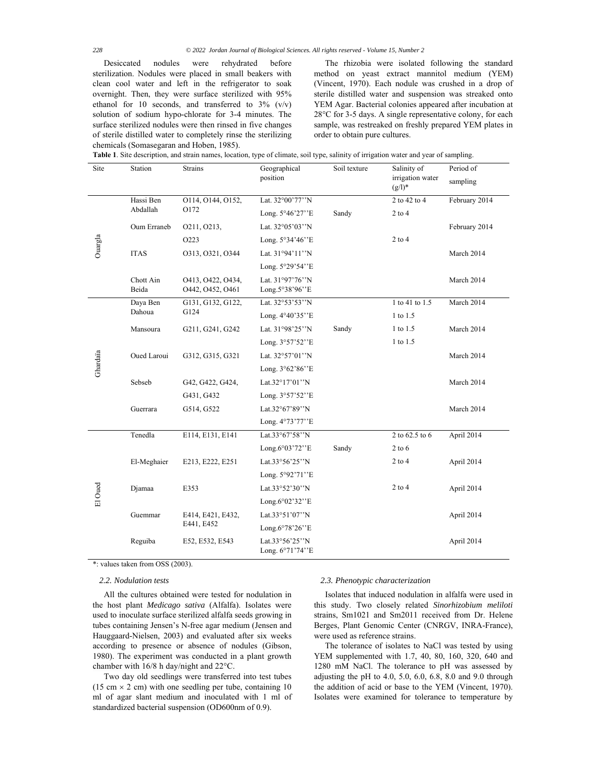Desiccated nodules were rehydrated before sterilization. Nodules were placed in small beakers with clean cool water and left in the refrigerator to soak overnight. Then, they were surface sterilized with 95% ethanol for 10 seconds, and transferred to 3% (v/v) solution of sodium hypo-chlorate for 3-4 minutes. The surface sterilized nodules were then rinsed in five changes of sterile distilled water to completely rinse the sterilizing chemicals (Somasegaran and Hoben, 1985).

The rhizobia were isolated following the standard method on yeast extract mannitol medium (YEM) (Vincent, 1970). Each nodule was crushed in a drop of sterile distilled water and suspension was streaked onto YEM Agar. Bacterial colonies appeared after incubation at 28°C for 3-5 days. A single representative colony, for each sample, was restreaked on freshly prepared YEM plates in order to obtain pure cultures.

| <b>Table 1.</b> Site description, and strain names, location, type of climate, soil type, salinity of irrigation water and year of sampling. |  |  |
|----------------------------------------------------------------------------------------------------------------------------------------------|--|--|
|                                                                                                                                              |  |  |

| Site     | Station            | Strains                               | Geographical<br>position           | Soil texture | Salinity of<br>irrigation water<br>$(g/l)^*$ | Period of<br>sampling |
|----------|--------------------|---------------------------------------|------------------------------------|--------------|----------------------------------------------|-----------------------|
|          | Hassi Ben          | 0114, 0144, 0152,                     | Lat. 32°00'77"N                    |              | 2 to 42 to 4                                 | February 2014         |
|          | Abdallah           | O172                                  | Long. 5°46'27"E                    | Sandy        | $2$ to $4$                                   |                       |
|          | Oum Erraneb        | 0211, 0213,                           | Lat. 32°05'03"N                    |              |                                              | February 2014         |
| Ouargla  |                    | O223                                  | Long. 5°34'46''E                   |              | $2$ to $4$                                   |                       |
|          | <b>ITAS</b>        | 0313, 0321, 0344                      | Lat. 31°94'11"N                    |              |                                              | March 2014            |
|          |                    |                                       | Long. 5°29'54''E                   |              |                                              |                       |
|          | Chott Ain<br>Beida | 0413, 0422, 0434,<br>0442, 0452, 0461 | Lat. 31°97'76"N<br>Long.5°38'96''E |              |                                              | March 2014            |
|          | Daya Ben           | G131, G132, G122,                     | Lat. 32°53'53"N                    |              | 1 to 41 to 1.5                               | March 2014            |
|          | Dahoua             | G124                                  | Long. 4°40'35"E                    |              | 1 to 1.5                                     |                       |
|          | Mansoura           | G211, G241, G242                      | Lat. 31°98'25"N                    | Sandy        | $1$ to $1.5$                                 | March 2014            |
|          |                    |                                       | Long. 3°57'52"E                    |              | 1 to 1.5                                     |                       |
| Ghardaïa | Oued Laroui        | G312, G315, G321                      | Lat. 32°57'01"N                    |              |                                              | March 2014            |
|          |                    |                                       | Long. 3°62'86"E                    |              |                                              |                       |
|          | Sebseb             | G42, G422, G424,                      | Lat.32°17'01"N                     |              |                                              | March 2014            |
|          |                    | G431, G432                            | Long. 3°57'52"E                    |              |                                              |                       |
|          | Guerrara           | G514, G522                            | Lat.32°67'89"N                     |              |                                              | March 2014            |
|          |                    |                                       | Long. 4°73'77"E                    |              |                                              |                       |
|          | Tenedla            | E114, E131, E141                      | Lat.33°67'58"N                     |              | 2 to 62.5 to 6                               | April 2014            |
|          |                    |                                       | Long. $6°03'72''E$                 | Sandy        | $2$ to 6                                     |                       |
| El Oued  | El-Meghaier        | E213, E222, E251                      | Lat.33°56'25"N                     |              | $2$ to $4$                                   | April 2014            |
|          |                    |                                       | Long. 5°92'71"E                    |              |                                              |                       |
|          | Djamaa             | E353                                  | Lat.33°52'30"N                     |              | $2$ to $4$                                   | April 2014            |
|          |                    |                                       | Long.6°02'32"E                     |              |                                              |                       |
|          | Guemmar            | E414, E421, E432,<br>E441, E452       | Lat.33 $\degree$ 51'07''N          |              |                                              | April 2014            |
|          |                    |                                       | Long.6°78'26"E                     |              |                                              |                       |
|          | Reguiba            | E52, E532, E543                       | Lat.33°56'25"N<br>Long. 6°71'74''E |              |                                              | April 2014            |

\*: values taken from OSS (2003).

# *2.2. Nodulation tests*

All the cultures obtained were tested for nodulation in the host plant *Medicago sativa* (Alfalfa). Isolates were used to inoculate surface sterilized alfalfa seeds growing in tubes containing Jensen's N-free agar medium (Jensen and Hauggaard-Nielsen, 2003) and evaluated after six weeks according to presence or absence of nodules (Gibson, 1980). The experiment was conducted in a plant growth chamber with 16/8 h day/night and 22°C.

Two day old seedlings were transferred into test tubes (15 cm  $\times$  2 cm) with one seedling per tube, containing 10 ml of agar slant medium and inoculated with 1 ml of standardized bacterial suspension (OD600nm of 0.9).

## *2.3. Phenotypic characterization*

Isolates that induced nodulation in alfalfa were used in this study. Two closely related *Sinorhizobium meliloti* strains, Sm1021 and Sm2011 received from Dr. Helene Berges, Plant Genomic Center (CNRGV, INRA-France), were used as reference strains.

The tolerance of isolates to NaCl was tested by using YEM supplemented with 1.7, 40, 80, 160, 320, 640 and 1280 mM NaCl. The tolerance to pH was assessed by adjusting the pH to  $4.0, 5.0, 6.0, 6.8, 8.0$  and  $9.0$  through the addition of acid or base to the YEM (Vincent, 1970). Isolates were examined for tolerance to temperature by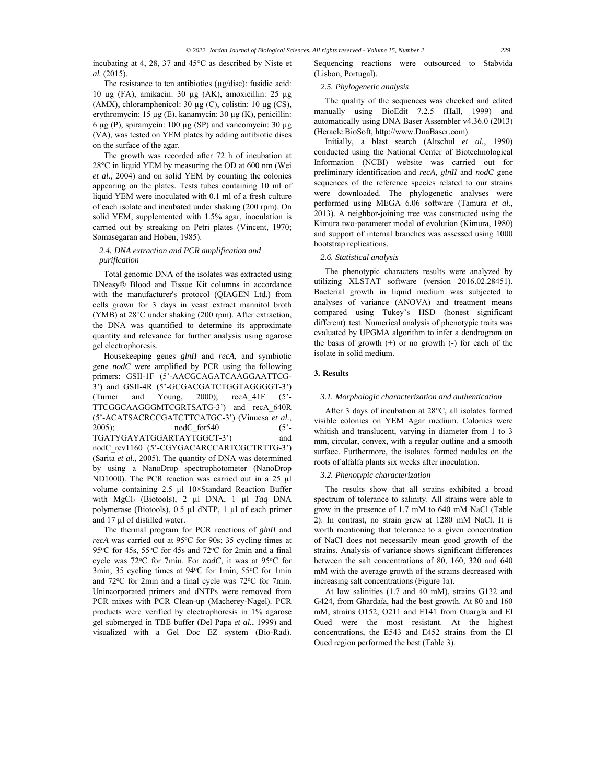incubating at 4, 28, 37 and 45°C as described by Niste et *al.* (2015).

# The resistance to ten antibiotics  $(\mu g/disc)$ : fusidic acid: 10 µg (FA), amikacin: 30 µg (AK), amoxicillin: 25 µg (AMX), chloramphenicol: 30  $\mu$ g (C), colistin: 10  $\mu$ g (CS), erythromycin: 15 µg (E), kanamycin: 30 µg (K), penicillin: 6  $\mu$ g (P), spiramycin: 100  $\mu$ g (SP) and vancomycin: 30  $\mu$ g (VA), was tested on YEM plates by adding antibiotic discs on the surface of the agar.

The growth was recorded after 72 h of incubation at 28°C in liquid YEM by measuring the OD at 600 nm (Wei *et al.*, 2004) and on solid YEM by counting the colonies appearing on the plates. Tests tubes containing 10 ml of liquid YEM were inoculated with 0.1 ml of a fresh culture of each isolate and incubated under shaking (200 rpm). On solid YEM, supplemented with 1.5% agar, inoculation is carried out by streaking on Petri plates (Vincent, 1970; Somasegaran and Hoben, 1985).

## *2.4. DNA extraction and PCR amplification and purification*

Total genomic DNA of the isolates was extracted using DNeasy® Blood and Tissue Kit columns in accordance with the manufacturer's protocol (QIAGEN Ltd.) from cells grown for 3 days in yeast extract mannitol broth (YMB) at 28°C under shaking (200 rpm). After extraction, the DNA was quantified to determine its approximate quantity and relevance for further analysis using agarose gel electrophoresis.

Housekeeping genes *glnII* and *recA*, and symbiotic gene *nodC* were amplified by PCR using the following primers: GSII-1F (5'-AACGCAGATCAAGGAATTCG-3') and GSII-4R (5'-GCGACGATCTGGTAGGGGT-3') (Turner and Young, 2000); recA\_41F (5'- TTCGGCAAGGGMTCGRTSATG-3') and recA\_640R (5'-ACATSACRCCGATCTTCATGC-3') (Vinuesa *et al.*, 2005); nodC for540 (5'-TGATYGAYATGGARTAYTGGCT-3') and nodC\_rev1160 (5'-CGYGACARCCARTCGCTRTTG-3') (Sarita *et al.*, 2005). The quantity of DNA was determined by using a NanoDrop spectrophotometer (NanoDrop ND1000). The PCR reaction was carried out in a 25 µl volume containing 2.5 µl 10×Standard Reaction Buffer with MgCl2 (Biotools), 2 µl DNA, 1 µl *Taq* DNA polymerase (Biotools), 0.5 µl dNTP, 1 µl of each primer and 17 µl of distilled water.

The thermal program for PCR reactions of *glnII* and *recA* was carried out at 95°C for 90s; 35 cycling times at 95°C for 45s, 55°C for 45s and 72°C for 2min and a final cycle was 72°C for 7min. For *nodC*, it was at 95°C for 3min; 35 cycling times at 94°C for 1min, 55°C for 1min and 72°C for 2min and a final cycle was 72°C for 7min. Unincorporated primers and dNTPs were removed from PCR mixes with PCR Clean-up (Macherey-Nagel). PCR products were verified by electrophoresis in 1% agarose gel submerged in TBE buffer (Del Papa *et al.*, 1999) and visualized with a Gel Doc EZ system (Bio-Rad).

Sequencing reactions were outsourced to Stabvida (Lisbon, Portugal).

#### *2.5. Phylogenetic analysis*

The quality of the sequences was checked and edited manually using BioEdit 7.2.5 (Hall, 1999) and automatically using DNA Baser Assembler v4.36.0 (2013) (Heracle BioSoft, http://www.DnaBaser.com).

Initially, a blast search (Altschul *et al.*, 1990) conducted using the National Center of Biotechnological Information (NCBI) website was carried out for preliminary identification and *recA*, *glnII* and *nodC* gene sequences of the reference species related to our strains were downloaded. The phylogenetic analyses were performed using MEGA 6.06 software (Tamura *et al.*, 2013). A neighbor-joining tree was constructed using the Kimura two-parameter model of evolution (Kimura, 1980) and support of internal branches was assessed using 1000 bootstrap replications.

#### *2.6. Statistical analysis*

The phenotypic characters results were analyzed by utilizing XLSTAT software (version 2016.02.28451). Bacterial growth in liquid medium was subjected to analyses of variance (ANOVA) and treatment means compared using Tukey's HSD (honest significant different) test. Numerical analysis of phenotypic traits was evaluated by UPGMA algorithm to infer a dendrogram on the basis of growth (+) or no growth (-) for each of the isolate in solid medium.

# **3. Results**

#### *3.1. Morphologic characterization and authentication*

After 3 days of incubation at 28°C, all isolates formed visible colonies on YEM Agar medium. Colonies were whitish and translucent, varying in diameter from 1 to 3 mm, circular, convex, with a regular outline and a smooth surface. Furthermore, the isolates formed nodules on the roots of alfalfa plants six weeks after inoculation.

#### *3.2. Phenotypic characterization*

The results show that all strains exhibited a broad spectrum of tolerance to salinity. All strains were able to grow in the presence of 1.7 mM to 640 mM NaCl (Table 2). In contrast, no strain grew at 1280 mM NaCl. It is worth mentioning that tolerance to a given concentration of NaCl does not necessarily mean good growth of the strains. Analysis of variance shows significant differences between the salt concentrations of 80, 160, 320 and 640 mM with the average growth of the strains decreased with increasing salt concentrations (Figure 1a).

At low salinities (1.7 and 40 mM), strains G132 and G424, from Ghardaïa, had the best growth. At 80 and 160 mM, strains O152, O211 and E141 from Ouargla and El Oued were the most resistant. At the highest concentrations, the E543 and E452 strains from the El Oued region performed the best (Table 3).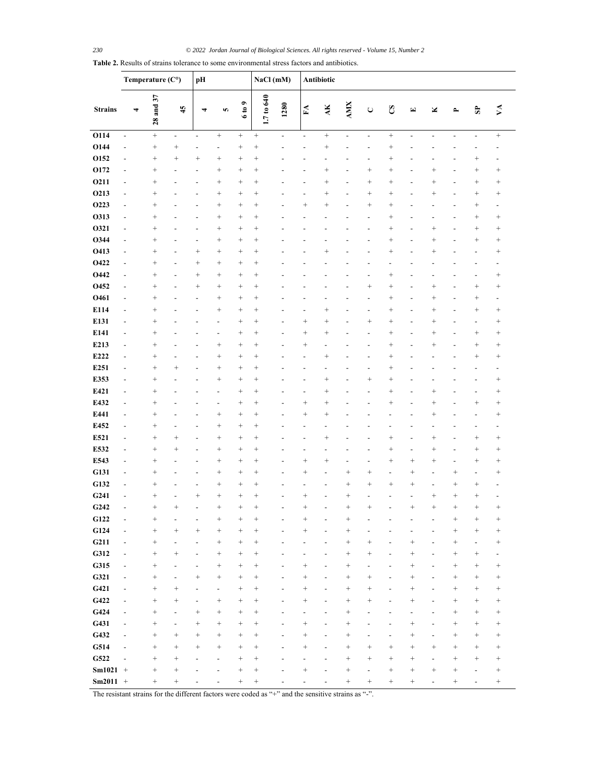| 28 and 37<br>1.7 to 640<br>6 to 9<br><b>AMX</b><br>1280<br>$\overline{A}$<br>$\mathbf{H}$<br>S<br><b>Strains</b><br>45<br>$\mathbf{\mathsf{C}}$<br>Χ<br>$\Xi$<br>$\rightarrow$<br>4<br>S<br>4<br>O114<br>$^{+}$<br>$^{+}$<br>$\! + \!\!\!\!$<br>$\! +$<br>$\blacksquare$<br>$\overline{\phantom{a}}$<br>$\blacksquare$<br>$\frac{1}{2}$<br>$\overline{\phantom{a}}$<br>$\overline{a}$<br>$\overline{\phantom{a}}$<br>$\overline{a}$<br>$\overline{\phantom{a}}$<br>$\overline{a}$<br>O144<br>$^{+}$<br>$\! + \!$<br>$^{+}$<br>$^{+}$<br>$^{+}$<br>$^{+}$<br>$\overline{a}$<br>L,<br>$\overline{a}$<br>-<br>O152<br>$^{+}$<br>$\! + \!\!\!\!$<br>$^{+}$<br>$\! + \!\!\!\!$<br>$^{+}$<br>$\! + \!\!\!\!$<br>$\overline{\phantom{a}}$<br>O172<br>$^{+}$<br>$^{+}$<br>$^{+}$<br>$^{+}$<br>$^{+}$<br>$^{+}$<br>$^{+}$<br>$\! + \!\!\!\!$<br>$\overline{\phantom{a}}$<br>$\overline{a}$<br>-<br>O211<br>$^{+}$<br>$^{+}$<br>$^{+}$<br>$^{+}$<br>$^{+}$<br>$^{+}$<br>$^{+}$<br>$^{+}$<br>$\overline{a}$<br>$\overline{a}$<br>$\overline{a}$<br>$\overline{a}$<br>L.<br>$\overline{\phantom{a}}$ | $\mathbf{v}$<br>$\mathbf{s}$<br>$^{+}$<br>$\overline{\phantom{a}}$<br>L,<br>$^{+}$<br>$^{+}$<br>$^{+}$<br>$^{+}$<br>$^{+}$<br>$^{+}$<br>$^{+}$<br>$^{+}$<br>$\overline{\phantom{a}}$<br>$^{+}$<br>$^{+}$<br>$\! + \!\!\!\!$<br>$^{+}$<br>$^{+}$<br>$^{+}$<br>$\overline{\phantom{a}}$ |
|------------------------------------------------------------------------------------------------------------------------------------------------------------------------------------------------------------------------------------------------------------------------------------------------------------------------------------------------------------------------------------------------------------------------------------------------------------------------------------------------------------------------------------------------------------------------------------------------------------------------------------------------------------------------------------------------------------------------------------------------------------------------------------------------------------------------------------------------------------------------------------------------------------------------------------------------------------------------------------------------------------------------------------------------------------------------------------------|---------------------------------------------------------------------------------------------------------------------------------------------------------------------------------------------------------------------------------------------------------------------------------------|
|                                                                                                                                                                                                                                                                                                                                                                                                                                                                                                                                                                                                                                                                                                                                                                                                                                                                                                                                                                                                                                                                                          |                                                                                                                                                                                                                                                                                       |
|                                                                                                                                                                                                                                                                                                                                                                                                                                                                                                                                                                                                                                                                                                                                                                                                                                                                                                                                                                                                                                                                                          |                                                                                                                                                                                                                                                                                       |
|                                                                                                                                                                                                                                                                                                                                                                                                                                                                                                                                                                                                                                                                                                                                                                                                                                                                                                                                                                                                                                                                                          |                                                                                                                                                                                                                                                                                       |
|                                                                                                                                                                                                                                                                                                                                                                                                                                                                                                                                                                                                                                                                                                                                                                                                                                                                                                                                                                                                                                                                                          |                                                                                                                                                                                                                                                                                       |
|                                                                                                                                                                                                                                                                                                                                                                                                                                                                                                                                                                                                                                                                                                                                                                                                                                                                                                                                                                                                                                                                                          |                                                                                                                                                                                                                                                                                       |
|                                                                                                                                                                                                                                                                                                                                                                                                                                                                                                                                                                                                                                                                                                                                                                                                                                                                                                                                                                                                                                                                                          |                                                                                                                                                                                                                                                                                       |
| O213<br>$^{+}$<br>$^{+}$<br>$\! + \!\!\!\!$<br>$^{+}$<br>$^{+}$<br>$^{+}$<br>$^{+}$<br>$\! + \!\!\!\!$<br>$\overline{\phantom{a}}$<br>$\overline{a}$<br>$\overline{a}$<br>$\overline{\phantom{0}}$<br>$\overline{\phantom{a}}$                                                                                                                                                                                                                                                                                                                                                                                                                                                                                                                                                                                                                                                                                                                                                                                                                                                           |                                                                                                                                                                                                                                                                                       |
| O223<br>$^{+}$<br>$^{+}$<br>$^{+}$<br>$\! + \!\!\!\!$<br>$^{+}$<br>$^{+}$<br>$\! + \!\!\!\!$<br>$\overline{\phantom{a}}$<br>$\overline{a}$<br>$\overline{a}$<br>$\overline{a}$<br>$\overline{\phantom{0}}$                                                                                                                                                                                                                                                                                                                                                                                                                                                                                                                                                                                                                                                                                                                                                                                                                                                                               |                                                                                                                                                                                                                                                                                       |
| O313<br>$^{+}$<br>$^{+}$<br>$^{+}$<br>$^{+}$<br>$\! + \!\!\!\!$<br>$\overline{\phantom{a}}$<br>L,<br>-<br>$\overline{a}$                                                                                                                                                                                                                                                                                                                                                                                                                                                                                                                                                                                                                                                                                                                                                                                                                                                                                                                                                                 |                                                                                                                                                                                                                                                                                       |
| O321<br>$^{+}$<br>$^{+}$<br>$^{+}$<br>$^{+}$<br>$\! + \!\!\!\!$<br>$^{+}$<br>$\overline{\phantom{a}}$<br>-<br>-                                                                                                                                                                                                                                                                                                                                                                                                                                                                                                                                                                                                                                                                                                                                                                                                                                                                                                                                                                          |                                                                                                                                                                                                                                                                                       |
| O344<br>$^{+}$<br>$^{+}$<br>$^{+}$<br>$^{+}$<br>$\! + \!\!\!\!$<br>$^{+}$<br>$\overline{\phantom{a}}$<br>-                                                                                                                                                                                                                                                                                                                                                                                                                                                                                                                                                                                                                                                                                                                                                                                                                                                                                                                                                                               |                                                                                                                                                                                                                                                                                       |
| O413<br>$^{+}$<br>$^{+}$<br>$^{+}$<br>$\! + \!\!\!\!$<br>$^{+}$<br>$^{+}$<br>$^{+}$<br>$\overline{\phantom{a}}$<br>$\overline{a}$<br>$\overline{\phantom{a}}$<br>O422                                                                                                                                                                                                                                                                                                                                                                                                                                                                                                                                                                                                                                                                                                                                                                                                                                                                                                                    |                                                                                                                                                                                                                                                                                       |
| $^{+}$<br>$\! + \!\!\!\!$<br>$\! + \!\!\!\!$<br>$\! + \!\!\!\!$<br>$\overline{\phantom{a}}$<br>$\overline{a}$<br>O442<br>$^{+}$<br>$\! + \!\!\!\!$<br>$\! + \!\!\!\!$<br>$^{+}$<br>$^{+}$<br>$\overline{\phantom{a}}$<br>$\overline{a}$<br>$\overline{a}$                                                                                                                                                                                                                                                                                                                                                                                                                                                                                                                                                                                                                                                                                                                                                                                                                                | $\overline{a}$<br>$^{+}$<br>$\overline{\phantom{a}}$                                                                                                                                                                                                                                  |
| O452<br>$^{+}$<br>$\! + \!\!\!\!$<br>$\! + \!\!\!\!$<br>$^{+}$<br>$^{+}$<br>$^{+}$<br>$\overline{\phantom{a}}$<br>$\overline{a}$                                                                                                                                                                                                                                                                                                                                                                                                                                                                                                                                                                                                                                                                                                                                                                                                                                                                                                                                                         | $^{+}$<br>$^{+}$                                                                                                                                                                                                                                                                      |
| O461<br>$^{+}$<br>$^{+}$<br>$^{+}$<br>$^{+}$<br>$^{+}$<br>$^{+}$<br>$\overline{\phantom{a}}$<br>$\overline{a}$<br>$\overline{a}$<br>$\overline{a}$                                                                                                                                                                                                                                                                                                                                                                                                                                                                                                                                                                                                                                                                                                                                                                                                                                                                                                                                       | $^{+}$<br>÷,                                                                                                                                                                                                                                                                          |
| E114<br>$^{+}$<br>$^{+}$<br>$^{+}$<br>$^{+}$<br>$^{+}$<br>$\! + \!\!\!\!$<br>$^{+}$<br>$\overline{\phantom{0}}$<br>$\overline{a}$<br>$\overline{a}$                                                                                                                                                                                                                                                                                                                                                                                                                                                                                                                                                                                                                                                                                                                                                                                                                                                                                                                                      | $^{+}$<br>$^{+}$                                                                                                                                                                                                                                                                      |
| E131<br>$^{+}$<br>$^{+}$<br>$^{+}$<br>$^{+}$<br>$^{+}$<br>$^{+}$<br>$\! + \!\!\!\!$<br>$^{+}$<br>$\overline{\phantom{0}}$<br>$\overline{a}$<br>$\overline{a}$                                                                                                                                                                                                                                                                                                                                                                                                                                                                                                                                                                                                                                                                                                                                                                                                                                                                                                                            | $^{+}$<br>$\overline{\phantom{a}}$                                                                                                                                                                                                                                                    |
| E141<br>$^{+}$<br>$^{+}$<br>$\! + \!\!\!\!$<br>$^{+}$<br>$^{+}$<br>$^{+}$<br>$^{+}$<br>$\overline{a}$<br>$\overline{a}$<br>$\overline{a}$<br>L.                                                                                                                                                                                                                                                                                                                                                                                                                                                                                                                                                                                                                                                                                                                                                                                                                                                                                                                                          | $^{+}$<br>$\! + \!\!\!\!$                                                                                                                                                                                                                                                             |
| E213<br>$^{+}$<br>$^{+}$<br>$^{+}$<br>$\! + \!\!\!\!$<br>$^{+}$<br>$^{+}$<br>$^{+}$<br>$\overline{a}$<br>$\overline{a}$<br>$\overline{a}$<br>۰<br>$\overline{\phantom{a}}$                                                                                                                                                                                                                                                                                                                                                                                                                                                                                                                                                                                                                                                                                                                                                                                                                                                                                                               | $^{+}$<br>$^{+}$                                                                                                                                                                                                                                                                      |
| E222<br>$^{+}$<br>$\! + \!\!\!\!$<br>$^{+}$<br>$\! + \!\!\!\!$<br>$^{+}$<br>$^{+}$<br>$\overline{a}$<br>$\overline{a}$<br>$\overline{\phantom{0}}$<br>٠                                                                                                                                                                                                                                                                                                                                                                                                                                                                                                                                                                                                                                                                                                                                                                                                                                                                                                                                  | $^{+}$<br>$^{+}$                                                                                                                                                                                                                                                                      |
| E251<br>$^{+}$<br>$^{+}$<br>$^{+}$<br>$\! + \!\!\!\!$<br>$^{+}$<br>$^{+}$<br>$\overline{\phantom{a}}$                                                                                                                                                                                                                                                                                                                                                                                                                                                                                                                                                                                                                                                                                                                                                                                                                                                                                                                                                                                    | L,                                                                                                                                                                                                                                                                                    |
| E353<br>$^{+}$<br>$^{+}$<br>$^{+}$<br>$^{+}$<br>$^{+}$<br>$^{+}$<br>$^{+}$<br>$\overline{\phantom{0}}$<br>$\overline{a}$                                                                                                                                                                                                                                                                                                                                                                                                                                                                                                                                                                                                                                                                                                                                                                                                                                                                                                                                                                 | $^{+}$                                                                                                                                                                                                                                                                                |
| E421<br>$^{+}$<br>$^{+}$<br>$^{+}$<br>$^{+}$<br>$^{+}$<br>$^{+}$<br>$\overline{\phantom{a}}$<br>$\overline{a}$<br>$\overline{\phantom{a}}$                                                                                                                                                                                                                                                                                                                                                                                                                                                                                                                                                                                                                                                                                                                                                                                                                                                                                                                                               | $^{+}$                                                                                                                                                                                                                                                                                |
| E432<br>$^{+}$<br>$^{+}$<br>$^{+}$<br>$^{+}$<br>$^{+}$<br>$^{+}$<br>$^{+}$<br>$\overline{\phantom{a}}$<br>$\overline{a}$<br>$\overline{a}$<br>L.<br>$\overline{\phantom{a}}$                                                                                                                                                                                                                                                                                                                                                                                                                                                                                                                                                                                                                                                                                                                                                                                                                                                                                                             | $^{+}$<br>$^+$                                                                                                                                                                                                                                                                        |
| E441<br>$^{+}$<br>$^{+}$<br>$^{+}$<br>$\! + \!\!\!\!$<br>$^{+}$<br>$^{+}$<br>$\overline{\phantom{a}}$<br>$\overline{a}$<br>$\overline{a}$<br>$\overline{\phantom{a}}$<br>$\overline{\phantom{a}}$<br>$\overline{a}$<br>$\overline{\phantom{a}}$                                                                                                                                                                                                                                                                                                                                                                                                                                                                                                                                                                                                                                                                                                                                                                                                                                          | $\overline{\phantom{a}}$                                                                                                                                                                                                                                                              |
| E452<br>$^{+}$<br>$^{+}$<br>$\! + \!\!\!\!$<br>$\! + \!\!\!\!$<br>$\overline{\phantom{a}}$<br>$\overline{a}$<br>$\overline{a}$<br>$\overline{\phantom{a}}$<br>$\overline{\phantom{0}}$<br>$\overline{a}$<br>$\overline{\phantom{a}}$<br>$\overline{\phantom{0}}$<br>$\overline{\phantom{a}}$<br>$\overline{\phantom{a}}$                                                                                                                                                                                                                                                                                                                                                                                                                                                                                                                                                                                                                                                                                                                                                                 | $\overline{\phantom{a}}$<br>$\overline{\phantom{a}}$                                                                                                                                                                                                                                  |
| E521<br>$^{+}$<br>$^{+}$<br>$\! + \!\!\!\!$<br>$^{+}$<br>$^{+}$<br>$^{+}$<br>$\overline{\phantom{a}}$<br>$^{+}$<br>$^{+}$<br>$\overline{a}$<br>$\overline{a}$<br>L,<br>$\overline{a}$                                                                                                                                                                                                                                                                                                                                                                                                                                                                                                                                                                                                                                                                                                                                                                                                                                                                                                    | $^{+}$                                                                                                                                                                                                                                                                                |
| E532<br>$^{+}$<br>$^{+}$<br>$^{+}$<br>$^{+}$<br>$^{+}$<br>$\overline{\phantom{a}}$<br>$^{+}$<br>$^{+}$<br>$\centerdot$<br>$\overline{a}$<br>$\overline{a}$<br>L,<br>$\overline{a}$<br>$\overline{a}$<br>$\overline{\phantom{a}}$<br>$\overline{\phantom{a}}$                                                                                                                                                                                                                                                                                                                                                                                                                                                                                                                                                                                                                                                                                                                                                                                                                             | $^{+}$                                                                                                                                                                                                                                                                                |
| E543<br>$^{+}$<br>$^{+}$<br>$^{+}$<br>$^{+}$<br>$^{+}$<br>$^{+}$<br>$^{+}$<br>$^{+}$<br>$^{+}$<br>$\overline{\phantom{a}}$<br>$\overline{a}$<br>$\overline{a}$<br>$\overline{\phantom{a}}$                                                                                                                                                                                                                                                                                                                                                                                                                                                                                                                                                                                                                                                                                                                                                                                                                                                                                               | $\! + \!$<br>$^{+}$                                                                                                                                                                                                                                                                   |
| G131<br>$^{+}$<br>$^{+}$<br>$^{+}$<br>$\! + \!\!\!\!$<br>$^{+}$<br>$^{+}$<br>$^{+}$<br>$^{+}$<br>$\overline{\phantom{a}}$<br>$\overline{a}$<br>$\overline{a}$<br>$\overline{a}$<br>$\overline{a}$<br>$\overline{a}$<br>$\overline{a}$                                                                                                                                                                                                                                                                                                                                                                                                                                                                                                                                                                                                                                                                                                                                                                                                                                                    | $\! + \!\!\!\!$<br>÷,                                                                                                                                                                                                                                                                 |
| G132<br>$^{+}$<br>$^{+}$<br>$^{+}$<br>$\! + \!\!\!\!$<br>$^{+}$<br>$^{+}$<br>$^{+}$<br>$^{+}$<br>$^{+}$<br>$\overline{\phantom{a}}$<br>$\overline{a}$<br>$\overline{a}$<br>$\overline{a}$<br>$\overline{a}$<br>$\overline{a}$<br>$\overline{\phantom{0}}$                                                                                                                                                                                                                                                                                                                                                                                                                                                                                                                                                                                                                                                                                                                                                                                                                                | $^{+}$<br>÷,                                                                                                                                                                                                                                                                          |
| G241<br>$^{+}$<br>$^{+}$<br>$^{+}$<br>$\! + \!\!\!\!$<br>$^{+}$<br>$^{+}$<br>$^{+}$<br>$^{+}$<br>$^{+}$<br>$\overline{\phantom{a}}$<br>$\overline{a}$<br>$\overline{a}$<br>$\overline{\phantom{a}}$<br>$\overline{\phantom{a}}$<br>$\overline{a}$                                                                                                                                                                                                                                                                                                                                                                                                                                                                                                                                                                                                                                                                                                                                                                                                                                        | $^{+}$<br>$\overline{a}$                                                                                                                                                                                                                                                              |
| G242<br>$^{+}$<br>$\! + \!\!\!\!$<br>$^{+}$<br>$^{+}$<br>$^{+}$<br>$^{+}$<br>$^{+}$<br>$^{+}$<br>$^{+}$<br>$^{+}$<br>$^{+}$<br>$\overline{a}$<br>$\overline{a}$                                                                                                                                                                                                                                                                                                                                                                                                                                                                                                                                                                                                                                                                                                                                                                                                                                                                                                                          | $\! + \!\!\!\!$<br>$^{+}$                                                                                                                                                                                                                                                             |
| G122<br>$\! + \!$<br>$^{+}$<br>$\! + \!$<br>$^{+}$<br>$\! + \!$<br>$^{+}$<br>$^{+}$<br>$\overline{\phantom{a}}$<br>$\overline{a}$                                                                                                                                                                                                                                                                                                                                                                                                                                                                                                                                                                                                                                                                                                                                                                                                                                                                                                                                                        | $^{+}$<br>$\! + \!$                                                                                                                                                                                                                                                                   |
| G124<br>$^{+}$<br>$\! + \!$<br>$^{+}$<br>$\! + \!$<br>$^{+}$<br>$^{+}$<br>$^{+}$<br>$^{+}$<br>$^{+}$<br>$\overline{\phantom{m}}$                                                                                                                                                                                                                                                                                                                                                                                                                                                                                                                                                                                                                                                                                                                                                                                                                                                                                                                                                         | $^{+}$<br>$^{+}$                                                                                                                                                                                                                                                                      |
| G211<br>$^{+}$<br>$\! + \!$<br>$^{+}$<br>$\! + \!$<br>$^{+}$<br>$^{+}$<br>$\overline{\phantom{0}}$<br>$\overline{\phantom{0}}$<br>$\overline{\phantom{a}}$<br>$\overline{a}$<br>$\overline{\phantom{a}}$<br>$\overline{a}$<br>$\overline{a}$                                                                                                                                                                                                                                                                                                                                                                                                                                                                                                                                                                                                                                                                                                                                                                                                                                             | $\qquad \qquad \blacksquare$                                                                                                                                                                                                                                                          |
| G312<br>$^{+}$<br>$^{+}$<br>$\! + \!$<br>$^{+}$<br>$\! + \!$<br>$^{+}$<br>$^{+}$<br>$\overline{\phantom{a}}$<br>$\overline{\phantom{a}}$<br>$\overline{a}$<br>$\overline{a}$<br>$\overline{\phantom{a}}$<br>$\overline{a}$                                                                                                                                                                                                                                                                                                                                                                                                                                                                                                                                                                                                                                                                                                                                                                                                                                                               | $^{+}$<br>÷,                                                                                                                                                                                                                                                                          |
| G315<br>$\! + \!$<br>$^{+}$<br>$^{+}$<br>$^{+}$<br>$^{+}$<br>$^{+}$<br>$^{+}$<br>$\overline{\phantom{a}}$<br>$\overline{a}$<br>$\overline{a}$<br>$\overline{\phantom{a}}$<br>$\overline{\phantom{0}}$<br>$\overline{a}$<br>$\overline{\phantom{a}}$<br>$\overline{\phantom{a}}$                                                                                                                                                                                                                                                                                                                                                                                                                                                                                                                                                                                                                                                                                                                                                                                                          | $^{+}$<br>$^{+}$                                                                                                                                                                                                                                                                      |
| G321<br>$^{+}$<br>$^{+}$<br>$^{+}$<br>$^{+}$<br>$^{+}$<br>$^{+}$<br>$^{+}$<br>$^{+}$<br>$\overline{\phantom{a}}$<br>$\overline{\phantom{0}}$<br>$\overline{\phantom{0}}$<br>$\overline{a}$<br>$\overline{\phantom{a}}$<br>$\overline{\phantom{a}}$                                                                                                                                                                                                                                                                                                                                                                                                                                                                                                                                                                                                                                                                                                                                                                                                                                       | $^{+}$<br>$^{+}$                                                                                                                                                                                                                                                                      |
| G421<br>$^{+}$<br>$^{+}$<br>$^{+}$<br>$^{+}$<br>$^{+}$<br>$^{+}$<br>$^{+}$<br>$^{+}$<br>$\overline{\phantom{a}}$<br>$\overline{\phantom{a}}$<br>$\overline{a}$<br>$\centerdot$<br>$\qquad \qquad \blacksquare$<br>L,<br>$\overline{\phantom{a}}$                                                                                                                                                                                                                                                                                                                                                                                                                                                                                                                                                                                                                                                                                                                                                                                                                                         | $^{+}$<br>$^{+}$                                                                                                                                                                                                                                                                      |
| G422<br>$^{+}$<br>$^{+}$<br>$^{+}$<br>$\! + \!$<br>$^{+}$<br>$^{+}$<br>$^{+}$<br>$^{+}$<br>$^{+}$<br>$^{+}$<br>$\overline{\phantom{a}}$<br>$\overline{\phantom{a}}$<br>$\overline{a}$<br>$\overline{a}$<br>$\qquad \qquad -$<br>$\overline{\phantom{0}}$                                                                                                                                                                                                                                                                                                                                                                                                                                                                                                                                                                                                                                                                                                                                                                                                                                 | $^{+}$<br>$^{+}$                                                                                                                                                                                                                                                                      |
| G424<br>$^{+}$<br>$^{+}$<br>$\! + \!$<br>$\! + \!$<br>$^{+}$<br>$^{+}$<br>$\overline{\phantom{m}}$<br>$\overline{\phantom{0}}$<br>$\qquad \qquad \blacksquare$<br>$\qquad \qquad -$<br>$\overline{\phantom{0}}$<br>$\overline{\phantom{0}}$<br>$\overline{a}$<br>$\overline{a}$<br>$\overline{\phantom{0}}$                                                                                                                                                                                                                                                                                                                                                                                                                                                                                                                                                                                                                                                                                                                                                                              | $^{+}$<br>$^{+}$                                                                                                                                                                                                                                                                      |
| G431<br>$^{+}$<br>$\! + \!$<br>$\! + \!$<br>$^{+}$<br>$\! + \!$<br>$^{+}$<br>$^{+}$<br>$^{+}$<br>÷<br>$\frac{1}{2}$<br>L,<br>$\overline{a}$<br>$\overline{a}$<br>$\overline{a}$<br>$\overline{\phantom{a}}$<br>G432                                                                                                                                                                                                                                                                                                                                                                                                                                                                                                                                                                                                                                                                                                                                                                                                                                                                      | $^{+}$                                                                                                                                                                                                                                                                                |
| $^{+}$<br>$\! + \!$<br>$\! + \!$<br>$^{+}$<br>$^{+}$<br>$^{+}$<br>$^{+}$<br>$^{+}$<br>$^{+}$<br>$\overline{\phantom{a}}$<br>L,<br>$\overline{\phantom{a}}$<br>$\qquad \qquad -$<br>$\overline{\phantom{a}}$<br>$\overline{\phantom{a}}$<br>G514                                                                                                                                                                                                                                                                                                                                                                                                                                                                                                                                                                                                                                                                                                                                                                                                                                          | $^{+}$<br>$^{+}$                                                                                                                                                                                                                                                                      |
| $^{+}$<br>$^{+}$<br>$\! + \!$<br>$\! + \!$<br>$^{+}$<br>$^{+}$<br>$^{+}$<br>$^{+}$<br>$^{+}$<br>$^{+}$<br>$\overline{\phantom{a}}$<br>L,<br>$\overline{\phantom{0}}$<br>G522<br>$^{+}$<br>$\! + \!$<br>$^{+}$<br>$\! + \!$<br>$^{+}$<br>$\! + \!$<br>$^{+}$<br>$^{+}$<br>$\overline{a}$<br>$\frac{1}{2}$<br>$\qquad \qquad \blacksquare$<br>$\overline{\phantom{a}}$<br>Ĭ.<br>$\overline{a}$                                                                                                                                                                                                                                                                                                                                                                                                                                                                                                                                                                                                                                                                                             | $^{+}$<br>$^{+}$<br>$^{+}$<br>$^{+}$                                                                                                                                                                                                                                                  |
| Sm1021<br>$^{+}$<br>$^{+}$<br>$^{+}$<br>$^{+}$<br>$^{+}$<br>$^{+}$<br>$^{+}$<br>$^{+}$<br>$^{+}$<br>$^{+}$<br>$\qquad \qquad \blacksquare$                                                                                                                                                                                                                                                                                                                                                                                                                                                                                                                                                                                                                                                                                                                                                                                                                                                                                                                                               | $^{+}$                                                                                                                                                                                                                                                                                |
| $Sm2011 +$<br>$^{+}$<br>$\! + \!$<br>$^{+}$<br>$\! + \!$<br>$^{+}$<br>$^{+}$<br>$^{+}$<br>$\overline{a}$                                                                                                                                                                                                                                                                                                                                                                                                                                                                                                                                                                                                                                                                                                                                                                                                                                                                                                                                                                                 | Ĭ.                                                                                                                                                                                                                                                                                    |

**Table 2.** Results of strains tolerance to some environmental stress factors and antibiotics.

The resistant strains for the different factors were coded as "+" and the sensitive strains as "-".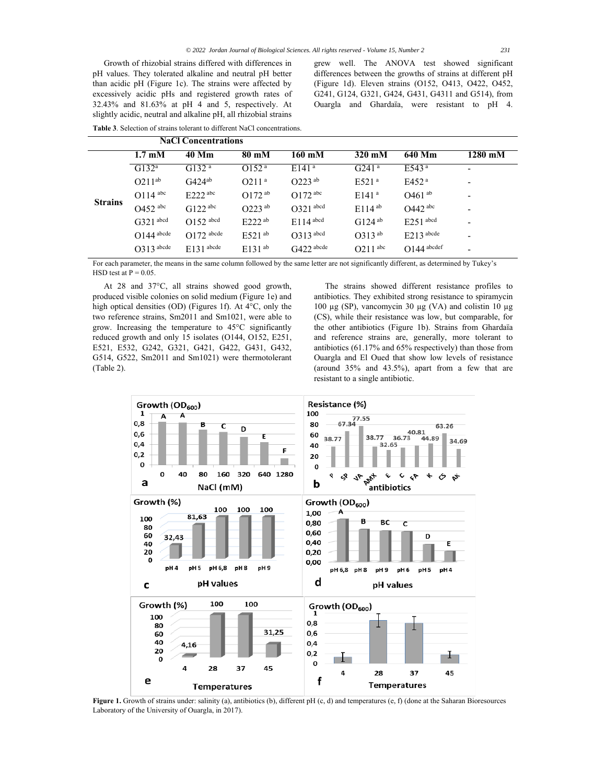Growth of rhizobial strains differed with differences in pH values. They tolerated alkaline and neutral pH better than acidic pH (Figure 1c). The strains were affected by excessively acidic pHs and registered growth rates of 32.43% and 81.63% at pH 4 and 5, respectively. At slightly acidic, neutral and alkaline pH, all rhizobial strains

**Table 3**. Selection of strains tolerant to different NaCl concentrations.

grew well. The ANOVA test showed significant differences between the growths of strains at different pH (Figure 1d). Eleven strains (O152, O413, O422, O452, G241, G124, G321, G424, G431, G4311 and G514), from Ouargla and Ghardaïa, were resistant to pH 4.

|                |                           | <b>NaCl Concentrations</b> |                      |                         |                       |                      |                          |
|----------------|---------------------------|----------------------------|----------------------|-------------------------|-----------------------|----------------------|--------------------------|
|                | $1.7 \text{ }\mathrm{mM}$ | 40 Mm                      | 80 mM                | 160 mM                  | $320 \text{ mM}$      | 640 Mm               | 1280 mM                  |
| <b>Strains</b> | $G132^a$                  | G132 <sup>a</sup>          | O152 <sup>a</sup>    | E141 <sup>a</sup>       | $G241^a$              | $E$ 543 <sup>a</sup> | $\overline{\phantom{a}}$ |
|                | $O211^{ab}$               | $G424^{ab}$                | O211 <sup>a</sup>    | $O223^{ab}$             | E521 <sup>a</sup>     | E452 <sup>a</sup>    | -                        |
|                | $O114$ abc                | $E222$ abc                 | $O172^{ab}$          | $O172$ <sup>abc</sup>   | E141 <sup>a</sup>     | $O461$ <sup>ab</sup> |                          |
|                | $O452$ <sup>abc</sup>     | $G122$ <sup>abc</sup>      | $O223^{ab}$          | $O321$ abcd             | $E114^{ab}$           | $O$ 442 abc          |                          |
|                | $G321$ abcd               | $O152$ abcd                | $E222^{ab}$          | $E114$ <sup>abcd</sup>  | $G124^{ab}$           | $E$ 2.51 abcd        | -                        |
|                | $O144$ abcde              | $O172$ abcde               | $E521$ <sup>ab</sup> | $O313$ abcd             | $O313^{ab}$           | $E213$ abcde         | ٠                        |
|                | $O313$ abcde              | $E131$ abcde               | $E131^{ab}$          | $G422$ <sup>abcde</sup> | $O211$ <sup>abc</sup> | $O144$ abcdef        | -                        |

For each parameter, the means in the same column followed by the same letter are not significantly different, as determined by Tukey's HSD test at  $P = 0.05$ .

At 28 and 37°C, all strains showed good growth, produced visible colonies on solid medium (Figure 1e) and high optical densities (OD) (Figures 1f). At 4°C, only the two reference strains, Sm2011 and Sm1021, were able to grow. Increasing the temperature to 45°C significantly reduced growth and only 15 isolates (O144, O152, E251, E521, E532, G242, G321, G421, G422, G431, G432, G514, G522, Sm2011 and Sm1021) were thermotolerant (Table 2).

The strains showed different resistance profiles to antibiotics. They exhibited strong resistance to spiramycin 100 µg (SP), vancomycin 30 µg (VA) and colistin 10 µg (CS), while their resistance was low, but comparable, for the other antibiotics (Figure 1b). Strains from Ghardaïa and reference strains are, generally, more tolerant to antibiotics (61.17% and 65% respectively) than those from Ouargla and El Oued that show low levels of resistance (around 35% and 43.5%), apart from a few that are resistant to a single antibiotic.



**Figure 1.** Growth of strains under: salinity (a), antibiotics (b), different pH (c, d) and temperatures (e, f) (done at the Saharan Bioresources Laboratory of the University of Ouargla, in 2017).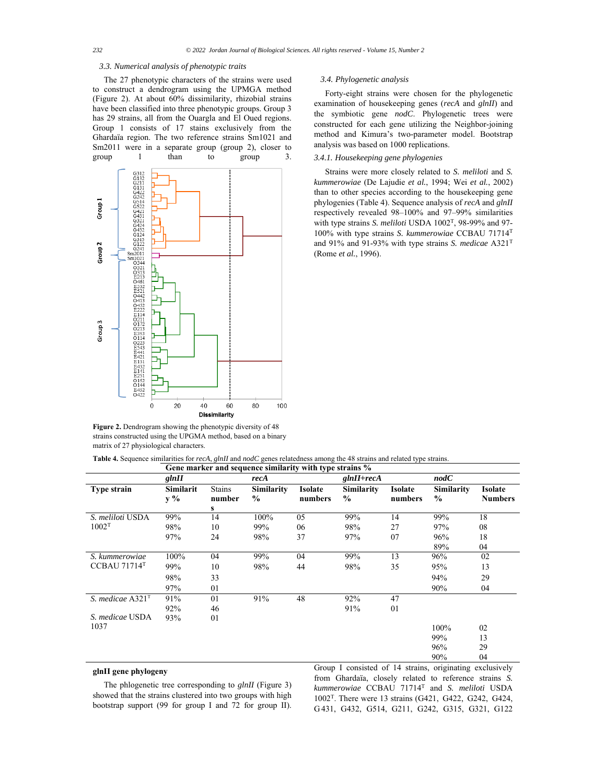#### *3.3. Numerical analysis of phenotypic traits*

The 27 phenotypic characters of the strains were used to construct a dendrogram using the UPMGA method (Figure 2). At about 60% dissimilarity, rhizobial strains have been classified into three phenotypic groups. Group 3 has 29 strains, all from the Ouargla and El Oued regions. Group 1 consists of 17 stains exclusively from the Ghardaïa region. The two reference strains Sm1021 and Sm2011 were in a separate group (group 2), closer to group 1 than to group 3.



**Figure 2.** Dendrogram showing the phenotypic diversity of 48 strains constructed using the UPGMA method, based on a binary matrix of 27 physiological characters.

#### *3.4. Phylogenetic analysis*

Forty-eight strains were chosen for the phylogenetic examination of housekeeping genes (*recA* and *glnII*) and the symbiotic gene *nodC*. Phylogenetic trees were constructed for each gene utilizing the Neighbor-joining method and Kimura's two-parameter model. Bootstrap analysis was based on 1000 replications.

# *3.4.1. Housekeeping gene phylogenies*

Strains were more closely related to *S. meliloti* and *S. kummerowiae* (De Lajudie *et al.*, 1994; Wei *et al.*, 2002) than to other species according to the housekeeping gene phylogenies (Table 4). Sequence analysis of *recA* and *glnII* respectively revealed 98–100% and 97–99% similarities with type strains *S. meliloti* USDA 1002T, 98-99% and 97- 100% with type strains *S. kummerowiae* CCBAU 71714T and 91% and 91-93% with type strains *S. medicae* A321T (Rome *et al.*, 1996).

| Table 4. Sequence similarities for recA, glnII and nodC genes relatedness among the 48 strains and related type strains. |  |                                                                                                     |  |  |
|--------------------------------------------------------------------------------------------------------------------------|--|-----------------------------------------------------------------------------------------------------|--|--|
|                                                                                                                          |  | $C_1$ and an extra set of a second control of $C_1$ , $C_2$ , $C_3$ , $C_4$ , $C_5$ , $C_6$ , $C_7$ |  |  |

|                    | Gene marker and sequence similarity with type strains % |                              |                    |                    |                                    |                           |                             |                                  |
|--------------------|---------------------------------------------------------|------------------------------|--------------------|--------------------|------------------------------------|---------------------------|-----------------------------|----------------------------------|
|                    | glnII                                                   |                              | recA               |                    | $glnII + recA$                     |                           | nodC                        |                                  |
| <b>Type strain</b> | Similarit<br>y %                                        | <b>Stains</b><br>number<br>s | Similarity<br>$\%$ | Isolate<br>numbers | <b>Similarity</b><br>$\frac{0}{0}$ | <b>Isolate</b><br>numbers | Similarity<br>$\frac{6}{6}$ | <b>Isolate</b><br><b>Numbers</b> |
| S. meliloti USDA   | 99%                                                     | 14                           | 100%               | 05                 | 99%                                | 14                        | 99%                         | 18                               |
| 1002 <sup>T</sup>  | 98%                                                     | 10                           | 99%                | 06                 | 98%                                | 27                        | 97%                         | 08                               |
|                    | 97%                                                     | 24                           | 98%                | 37                 | 97%                                | 07                        | 96%                         | 18                               |
|                    |                                                         |                              |                    |                    |                                    |                           | 89%                         | 04                               |
| S. kummerowiae     | 100%                                                    | 04                           | 99%                | 04                 | 99%                                | 13                        | 96%                         | 02                               |
| CCBAU 71714T       | 99%                                                     | 10                           | 98%                | 44                 | 98%                                | 35                        | 95%                         | 13                               |
|                    | 98%                                                     | 33                           |                    |                    |                                    |                           | 94%                         | 29                               |
|                    | 97%                                                     | 01                           |                    |                    |                                    |                           | 90%                         | 04                               |
| S. medicae $A321T$ | 91%                                                     | 01                           | 91%                | 48                 | 92%                                | 47                        |                             |                                  |
|                    | 92%                                                     | 46                           |                    |                    | 91%                                | 01                        |                             |                                  |
| S. medicae USDA    | 93%                                                     | 01                           |                    |                    |                                    |                           |                             |                                  |
| 1037               |                                                         |                              |                    |                    |                                    |                           | 100%                        | 02                               |
|                    |                                                         |                              |                    |                    |                                    |                           | 99%                         | 13                               |
|                    |                                                         |                              |                    |                    |                                    |                           | 96%                         | 29                               |
|                    |                                                         |                              |                    |                    |                                    |                           | 90%                         | 04                               |

## **glnII gene phylogeny**

The phlogenetic tree corresponding to *glnII* (Figure 3) showed that the strains clustered into two groups with high bootstrap support (99 for group I and 72 for group II).

Group I consisted of 14 strains, originating exclusively from Ghardaïa, closely related to reference strains *S. kummerowiae* CCBAU 71714T and *S. meliloti* USDA 1002T. There were 13 strains (G421, G422, G242, G424, G 431, G432, G514, G211, G242, G315, G321, G122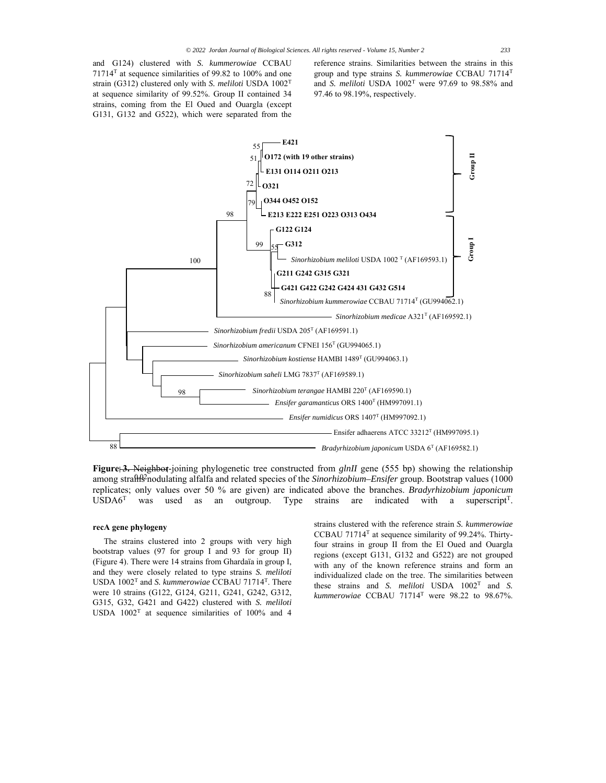reference strains. Similarities between the strains in this group and type strains *S. kummerowiae* CCBAU 71714T and *S. meliloti* USDA 1002T were 97.69 to 98.58% and 97.46 to 98.19%, respectively.



Figure 3. Neighbor-joining phylogenetic tree constructed from *glnII* gene (555 bp) showing the relationship among strafth<sup>22</sup> nodulating alfalfa and related species of the *Sinorhizobium–Ensifer* group. Bootstrap values (1000 replicates; only values over 50 % are given) are indicated above the branches. *Bradyrhizobium japonicum*  $\text{USDA6}^T$  was used as an outgroup. Type strains are indicated with a superscript<sup>T</sup>.

## **recA gene phylogeny**

The strains clustered into 2 groups with very high bootstrap values (97 for group I and 93 for group II) (Figure 4). There were 14 strains from Ghardaïa in group I, and they were closely related to type strains *S. meliloti*  USDA 1002T and *S. kummerowiae* CCBAU 71714T. There were 10 strains (G122, G124, G211, G241, G242, G312, G315, G32, G421 and G422) clustered with *S. meliloti*  USDA  $1002^T$  at sequence similarities of 100% and 4 strains clustered with the reference strain *S. kummerowiae*  CCBAU 71714T at sequence similarity of 99.24%. Thirtyfour strains in group II from the El Oued and Ouargla regions (except G131, G132 and G522) are not grouped with any of the known reference strains and form an individualized clade on the tree. The similarities between these strains and *S. meliloti* USDA 1002T and *S.*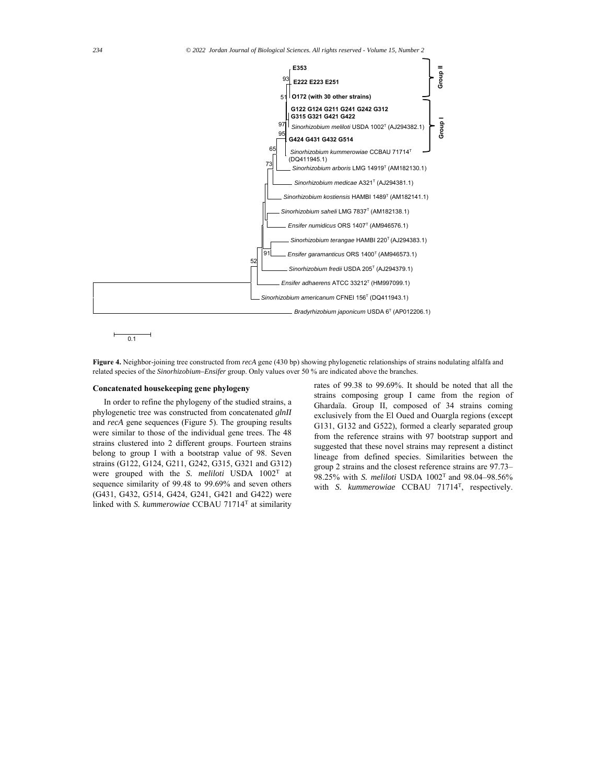

 $0.1$ 

**Figure 4.** Neighbor-joining tree constructed from *recA* gene (430 bp) showing phylogenetic relationships of strains nodulating alfalfa and related species of the *Sinorhizobium–Ensifer* group. Only values over 50 % are indicated above the branches.

#### **Concatenated housekeeping gene phylogeny**

In order to refine the phylogeny of the studied strains, a phylogenetic tree was constructed from concatenated *glnII* and *recA* gene sequences (Figure 5). The grouping results were similar to those of the individual gene trees. The 48 strains clustered into 2 different groups. Fourteen strains belong to group I with a bootstrap value of 98. Seven strains (G122, G124, G211, G242, G315, G321 and G312) were grouped with the *S. meliloti* USDA 1002T at sequence similarity of 99.48 to 99.69% and seven others (G431, G432, G514, G424, G241, G421 and G422) were linked with *S. kummerowiae* CCBAU 71714T at similarity

rates of 99.38 to 99.69%. It should be noted that all the strains composing group I came from the region of Ghardaïa. Group II, composed of 34 strains coming exclusively from the El Oued and Ouargla regions (except G131, G132 and G522), formed a clearly separated group from the reference strains with 97 bootstrap support and suggested that these novel strains may represent a distinct lineage from defined species. Similarities between the group 2 strains and the closest reference strains are 97.73– 98.25% with *S. meliloti* USDA 1002T and 98.04–98.56% with *S. kummerowiae* CCBAU 71714T, respectively.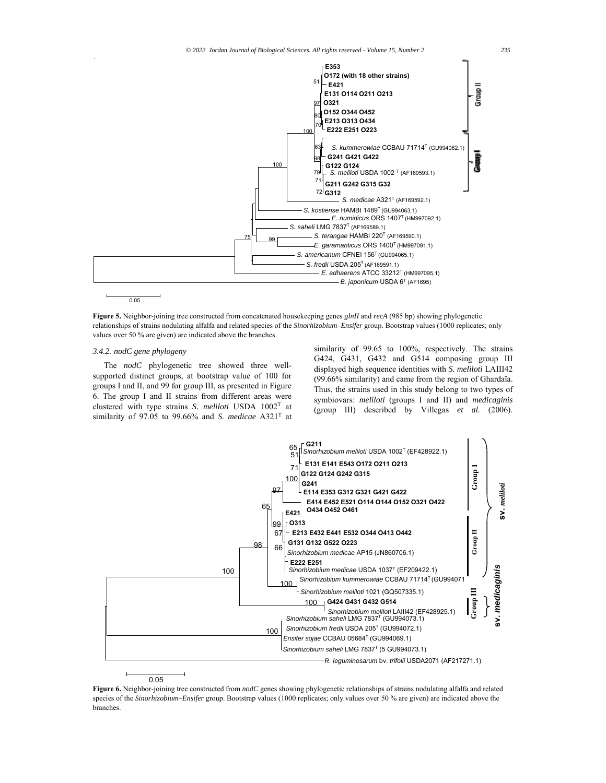

 $0.05$ 

**Figure 5.** Neighbor-joining tree constructed from concatenated housekeeping genes *glnII* and *recA* (985 bp) showing phylogenetic relationships of strains nodulating alfalfa and related species of the *Sinorhizobium–Ensifer* group. Bootstrap values (1000 replicates; only values over 50 % are given) are indicated above the branches.

## *3.4.2. nodC gene phylogeny*

The *nodC* phylogenetic tree showed three wellsupported distinct groups, at bootstrap value of 100 for groups I and II, and 99 for group III, as presented in Figure 6. The group I and II strains from different areas were clustered with type strains *S. meliloti* USDA 1002T at similarity of 97.05 to 99.66% and *S. medicae* A321T at

similarity of 99.65 to 100%, respectively. The strains G424, G431, G432 and G514 composing group III displayed high sequence identities with *S. meliloti* LAIII42 (99.66% similarity) and came from the region of Ghardaïa. Thus, the strains used in this study belong to two types of symbiovars: *meliloti* (groups I and II) and *medicaginis* (group III) described by Villegas *et al.* (2006).



**Figure 6.** Neighbor-joining tree constructed from *nodC* genes showing phylogenetic relationships of strains nodulating alfalfa and related species of the *Sinorhizobium–Ensifer* group. Bootstrap values (1000 replicates; only values over 50 % are given) are indicated above the branches.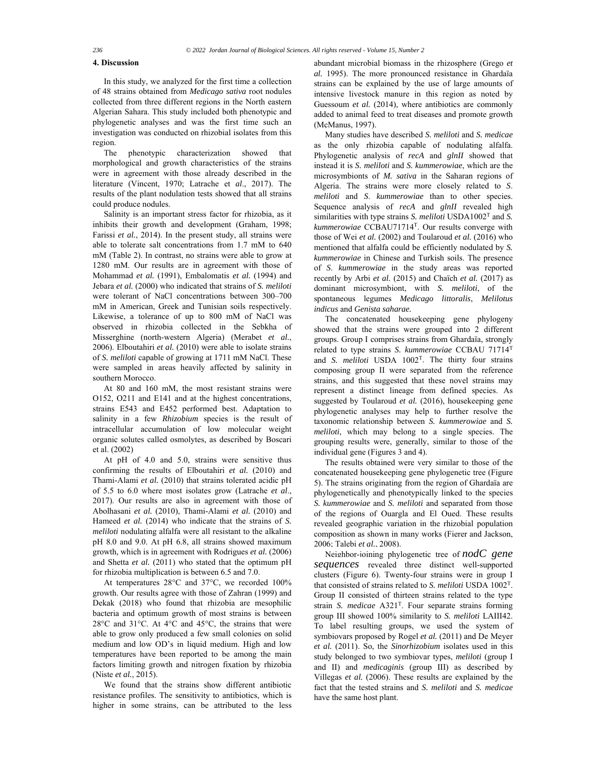## **4. Discussion**

In this study, we analyzed for the first time a collection of 48 strains obtained from *Medicago sativa* root nodules collected from three different regions in the North eastern Algerian Sahara. This study included both phenotypic and phylogenetic analyses and was the first time such an investigation was conducted on rhizobial isolates from this region.

The phenotypic characterization showed that morphological and growth characteristics of the strains were in agreement with those already described in the literature (Vincent, 1970; Latrache et *al*., 2017). The results of the plant nodulation tests showed that all strains could produce nodules.

Salinity is an important stress factor for rhizobia, as it inhibits their growth and development (Graham, 1998; Farissi *et al.*, 2014). In the present study, all strains were able to tolerate salt concentrations from 1.7 mM to 640 mM (Table 2). In contrast, no strains were able to grow at 1280 mM. Our results are in agreement with those of Mohammad *et al.* (1991), Embalomatis *et al.* (1994) and Jebara *et al.* (2000) who indicated that strains of *S. meliloti* were tolerant of NaCl concentrations between 300–700 mM in American, Greek and Tunisian soils respectively. Likewise, a tolerance of up to 800 mM of NaCl was observed in rhizobia collected in the Sebkha of Misserghine (north-western Algeria) (Merabet *et al.*, 2006). Elboutahiri *et al.* (2010) were able to isolate strains of *S. meliloti* capable of growing at 1711 mM NaCl. These were sampled in areas heavily affected by salinity in southern Morocco.

At 80 and 160 mM, the most resistant strains were O152, O211 and E141 and at the highest concentrations, strains E543 and E452 performed best. Adaptation to salinity in a few *Rhizobium* species is the result of intracellular accumulation of low molecular weight organic solutes called osmolytes, as described by Boscari et al. (2002)

At pH of 4.0 and 5.0, strains were sensitive thus confirming the results of Elboutahiri *et al.* (2010) and Thami-Alami *et al.* (2010) that strains tolerated acidic pH of 5.5 to 6.0 where most isolates grow (Latrache *et al*., 2017). Our results are also in agreement with those of Abolhasani *et al.* (2010), Thami-Alami *et al.* (2010) and Hameed *et al.* (2014) who indicate that the strains of *S. meliloti* nodulating alfalfa were all resistant to the alkaline pH 8.0 and 9.0. At pH 6.8, all strains showed maximum growth, which is in agreement with Rodrigues *et al.* (2006) and Shetta *et al.* (2011) who stated that the optimum pH for rhizobia multiplication is between 6.5 and 7.0.

At temperatures 28°C and 37°C, we recorded 100% growth. Our results agree with those of Zahran (1999) and Dekak (2018) who found that rhizobia are mesophilic bacteria and optimum growth of most strains is between 28°C and 31°C. At 4°C and 45°C, the strains that were able to grow only produced a few small colonies on solid medium and low OD's in liquid medium. High and low temperatures have been reported to be among the main factors limiting growth and nitrogen fixation by rhizobia (Niste *et al.*, 2015).

We found that the strains show different antibiotic resistance profiles. The sensitivity to antibiotics, which is higher in some strains, can be attributed to the less

abundant microbial biomass in the rhizosphere (Grego *et al.* 1995). The more pronounced resistance in Ghardaïa strains can be explained by the use of large amounts of intensive livestock manure in this region as noted by Guessoum *et al.* (2014), where antibiotics are commonly added to animal feed to treat diseases and promote growth (McManus, 1997).

Many studies have described *S. meliloti* and *S. medicae* as the only rhizobia capable of nodulating alfalfa. Phylogenetic analysis of *recA* and *glnII* showed that instead it is *S. meliloti* and *S. kummerowiae*, which are the microsymbionts of *M. sativa* in the Saharan regions of Algeria. The strains were more closely related to *S*. *meliloti* and *S*. *kummerowiae* than to other species. Sequence analysis of *recA* and *glnII* revealed high similarities with type strains *S. meliloti* USDA1002<sup>T</sup> and *S. kummerowiae* CCBAU71714T. Our results converge with those of Wei *et al.* (2002) and Toularoud *et al.* (2016) who mentioned that alfalfa could be efficiently nodulated by *S. kummerowiae* in Chinese and Turkish soils. The presence of *S*. *kummerowiae* in the study areas was reported recently by Arbi *et al.* (2015) and Chaïch *et al.* (2017) as dominant microsymbiont, with *S. meliloti*, of the spontaneous legumes *Medicago littoralis*, *Melilotus indicus* and *Genista saharae.* 

The concatenated housekeeping gene phylogeny showed that the strains were grouped into 2 different groups. Group I comprises strains from Ghardaïa, strongly related to type strains *S. kummerowiae* CCBAU 71714T and *S. meliloti* USDA 1002T. The thirty four strains composing group II were separated from the reference strains, and this suggested that these novel strains may represent a distinct lineage from defined species. As suggested by Toularoud *et al.* (2016), housekeeping gene phylogenetic analyses may help to further resolve the taxonomic relationship between *S. kummerowiae* and *S. meliloti*, which may belong to a single species. The grouping results were, generally, similar to those of the individual gene (Figures 3 and 4).

The results obtained were very similar to those of the concatenated housekeeping gene phylogenetic tree (Figure 5). The strains originating from the region of Ghardaïa are phylogenetically and phenotypically linked to the species *S. kummerowiae* and *S. meliloti* and separated from those of the regions of Ouargla and El Oued. These results revealed geographic variation in the rhizobial population composition as shown in many works (Fierer and Jackson, 2006; Talebi *et al.*, 2008).

Neighbor-joining phylogenetic tree of *nodC gene sequences* revealed three distinct well-supported clusters (Figure 6). Twenty-four strains were in group I that consisted of strains related to *S. meliloti* USDA 1002T. Group II consisted of thirteen strains related to the type strain *S. medicae* A321T. Four separate strains forming group III showed 100% similarity to *S. meliloti* LAIII42. To label resulting groups, we used the system of symbiovars proposed by Rogel *et al.* (2011) and De Meyer *et al.* (2011). So, the *Sinorhizobium* isolates used in this study belonged to two symbiovar types, *meliloti* (group I and II) and *medicaginis* (group III) as described by Villegas *et al.* (2006). These results are explained by the fact that the tested strains and *S. meliloti* and *S. medicae* have the same host plant.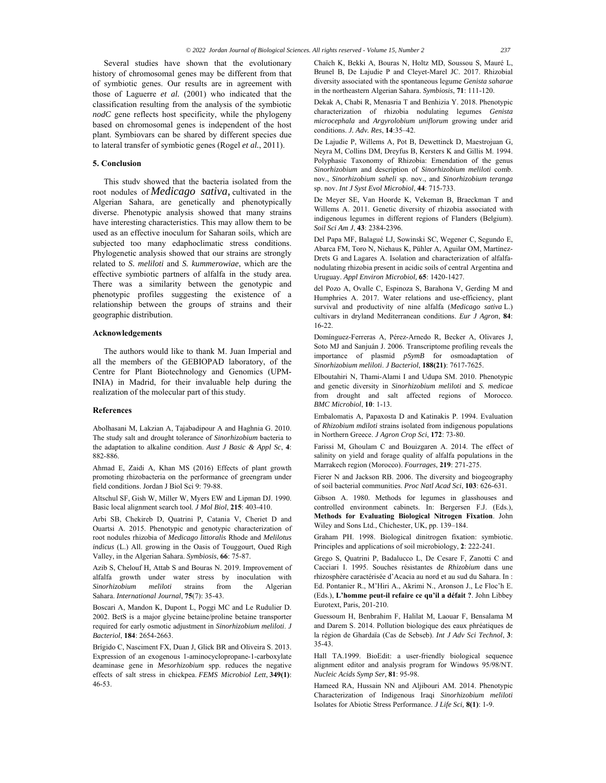Several studies have shown that the evolutionary history of chromosomal genes may be different from that of symbiotic genes. Our results are in agreement with those of Laguerre *et al.* (2001) who indicated that the classification resulting from the analysis of the symbiotic *nodC* gene reflects host specificity, while the phylogeny based on chromosomal genes is independent of the host plant. Symbiovars can be shared by different species due to lateral transfer of symbiotic genes (Rogel *et al.*, 2011).

## **5. Conclusion**

This study showed that the bacteria isolated from the root nodules of *Medicago sativa,* cultivated in the Algerian Sahara, are genetically and phenotypically diverse. Phenotypic analysis showed that many strains have interesting characteristics. This may allow them to be used as an effective inoculum for Saharan soils, which are subjected too many edaphoclimatic stress conditions. Phylogenetic analysis showed that our strains are strongly related to *S. meliloti* and *S. kummerowiae*, which are the effective symbiotic partners of alfalfa in the study area*.*  There was a similarity between the genotypic and phenotypic profiles suggesting the existence of a relationship between the groups of strains and their geographic distribution.

#### **Acknowledgements**

The authors would like to thank M. Juan Imperial and all the members of the GEBIOPAD laboratory, of the Centre for Plant Biotechnology and Genomics (UPM-INIA) in Madrid, for their invaluable help during the realization of the molecular part of this study.

#### **References**

Abolhasani M, Lakzian A, Tajabadipour A and Haghnia G. 2010. The study salt and drought tolerance of *Sinorhizobium* bacteria to the adaptation to alkaline condition. *Aust J Basic & Appl Sc*, **4**: 882-886.

Ahmad E, Zaidi A, Khan MS (2016) Effects of plant growth promoting rhizobacteria on the performance of greengram under field conditions. Jordan J Biol Sci 9: 79-88.

Altschul SF, Gish W, Miller W, Myers EW and Lipman DJ. 1990. Basic local alignment search tool. *J Mol Biol*, **215**: 403-410.

Arbi SB, Chekireb D, Quatrini P, Catania V, Cheriet D and Ouartsi A. 2015. Phenotypic and genotypic characterization of root nodules rhizobia of *Medicago littoralis* Rhode and *Melilotus indicus* (L.) All. growing in the Oasis of Touggourt, Oued Righ Valley, in the Algerian Sahara. *Symbiosis*, **66**: 75-87.

Azib S, Chelouf H, Attab S and Bouras N. 2019. Improvement of alfalfa growth under water stress by inoculation with *Sinorhizobium meliloti* strains from the Algerian Sahara. *International Journal*, **75**(7): 35-43.

Boscari A, Mandon K, Dupont L, Poggi MC and Le Rudulier D. 2002. BetS is a major glycine betaine/proline betaine transporter required for early osmotic adjustment in *Sinorhizobium meliloti*. *J Bacteriol*, **184**: 2654-2663.

Brígido C, Nasciment FX, Duan J, Glick BR and Oliveira S. 2013. Expression of an exogenous 1-aminocyclopropane-1-carboxylate deaminase gene in *Mesorhizobium* spp. reduces the negative effects of salt stress in chickpea. *FEMS Microbiol Lett*, **349(1)**: 46-53.

Chaïch K, Bekki A, Bouras N, Holtz MD, Soussou S, Mauré L, Brunel B, De Lajudie P and Cleyet-Marel JC. 2017. Rhizobial diversity associated with the spontaneous legume *Genista saharae* in the northeastern Algerian Sahara. *Symbiosis*, **71**: 111-120.

Dekak A, Chabi R, Menasria T and Benhizia Y. 2018. Phenotypic characterization of rhizobia nodulating legumes *Genista microcephala* and *Argyrolobium uniflorum* growing under arid conditions. *J. Adv. Res*, **14**:35–42.

De Lajudie P, Willems A, Pot B, Dewettinck D, Maestrojuan G, Neyra M, Collins DM, Dreyfus B, Kersters K and Gillis M. 1994. Polyphasic Taxonomy of Rhizobia: Emendation of the genus *Sinorhizobium* and description of *Sinorhizobium meliloti* comb. nov., *Sinorhizobium saheli* sp. nov., and *Sinorhizobium teranga*  sp. nov. *Int J Syst Evol Microbiol*, **44**: 715-733.

De Meyer SE, Van Hoorde K, Vekeman B, Braeckman T and Willems A. 2011. Genetic diversity of rhizobia associated with indigenous legumes in different regions of Flanders (Belgium). *Soil Sci Am J*, **43**: 2384-2396.

Del Papa MF, Balagué LJ, Sowinski SC, Wegener C, Segundo E, Abarca FM, Toro N, Niehaus K, Pühler A, Aguilar OM, Martínez-Drets G and Lagares A. Isolation and characterization of alfalfanodulating rhizobia present in acidic soils of central Argentina and Uruguay. *Appl Environ Microbiol,* **65**: 1420-1427.

del Pozo A, Ovalle C, Espinoza S, Barahona V, Gerding M and Humphries A. 2017. Water relations and use-efficiency, plant survival and productivity of nine alfalfa (*Medicago sativa* L.) cultivars in dryland Mediterranean conditions. *Eur J Agron*, **84**: 16-22.

Domínguez-Ferreras A, Pérez-Arnedo R, Becker A, Olivares J, Soto MJ and Sanjuán J. 2006. Transcriptome profiling reveals the importance of plasmid *pSymB* for osmoadaptation of *Sinorhizobium meliloti*. *J Bacteriol*, **188(21)**: 7617-7625.

Elboutahiri N, Thami-Alami I and Udupa SM. 2010. Phenotypic and genetic diversity in *Sinorhizobium meliloti* and *S. medicae* from drought and salt affected regions of Morocco. *BMC Microbiol*, **10**: 1-13.

Embalomatis A, Papaxosta D and Katinakis P. 1994. Evaluation of *Rhizobium mdiloti* strains isolated from indigenous populations in Northern Greece. *J Agron Crop Sci*, **172**: 73-80.

Farissi M, Ghoulam C and Bouizgaren A. 2014. The effect of salinity on yield and forage quality of alfalfa populations in the Marrakech region (Morocco). *Fourrages*, **219**: 271-275.

Fierer N and Jackson RB. 2006. The diversity and biogeography of soil bacterial communities. *Proc Natl Acad Sci*, **103**: 626-631.

Gibson A. 1980. Methods for legumes in glasshouses and controlled environment cabinets. In: Bergersen F.J. (Eds.), **Methods for Evaluating Biological Nitrogen Fixation**. John Wiley and Sons Ltd., Chichester, UK, pp. 139–184.

Graham PH. 1998. Biological dinitrogen fixation: symbiotic. Principles and applications of soil microbiology, **2**: 222-241.

Grego S, Quatrini P, Badalucco L, De Cesare F, Zanotti C and Cacciari I. 1995. Souches résistantes de *Rhizobium* dans une rhizosphère caractérisée d'Acacia au nord et au sud du Sahara. In : Ed. Pontanier R., M'Hiri A., Akrimi N., Aronson J., Le Floc'h E. (Eds.), **L'homme peut-il refaire ce qu'il a défait ?**. John Libbey Eurotext, Paris, 201-210.

Guessoum H, Benbrahim F, Halilat M, Laouar F, Bensalama M and Darem S. 2014. Pollution biologique des eaux phréatiques de la région de Ghardaïa (Cas de Sebseb). *Int J Adv Sci Technol*, **3**: 35-43.

Hall TA.1999. BioEdit: a user-friendly biological sequence alignment editor and analysis program for Windows 95/98/NT. *Nucleic Acids Symp Ser,* **81**: 95-98.

Hameed RA, Hussain NN and Aljibouri AM. 2014. Phenotypic Characterization of Indigenous Iraqi *Sinorhizobium meliloti*  Isolates for Abiotic Stress Performance. *J Life Sci,* **8(1)**: 1-9.